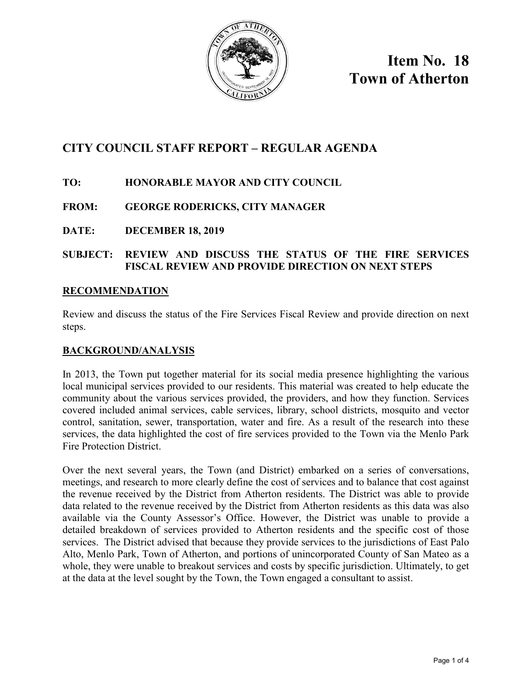

**Item No. 18 Town of Atherton**

# **CITY COUNCIL STAFF REPORT – REGULAR AGENDA**

## **TO: HONORABLE MAYOR AND CITY COUNCIL**

## **FROM: GEORGE RODERICKS, CITY MANAGER**

**DATE: DECEMBER 18, 2019** 

### **SUBJECT: REVIEW AND DISCUSS THE STATUS OF THE FIRE SERVICES FISCAL REVIEW AND PROVIDE DIRECTION ON NEXT STEPS**

#### **RECOMMENDATION**

Review and discuss the status of the Fire Services Fiscal Review and provide direction on next steps.

#### **BACKGROUND/ANALYSIS**

In 2013, the Town put together material for its social media presence highlighting the various local municipal services provided to our residents. This material was created to help educate the community about the various services provided, the providers, and how they function. Services covered included animal services, cable services, library, school districts, mosquito and vector control, sanitation, sewer, transportation, water and fire. As a result of the research into these services, the data highlighted the cost of fire services provided to the Town via the Menlo Park Fire Protection District.

Over the next several years, the Town (and District) embarked on a series of conversations, meetings, and research to more clearly define the cost of services and to balance that cost against the revenue received by the District from Atherton residents. The District was able to provide data related to the revenue received by the District from Atherton residents as this data was also available via the County Assessor's Office. However, the District was unable to provide a detailed breakdown of services provided to Atherton residents and the specific cost of those services. The District advised that because they provide services to the jurisdictions of East Palo Alto, Menlo Park, Town of Atherton, and portions of unincorporated County of San Mateo as a whole, they were unable to breakout services and costs by specific jurisdiction. Ultimately, to get at the data at the level sought by the Town, the Town engaged a consultant to assist.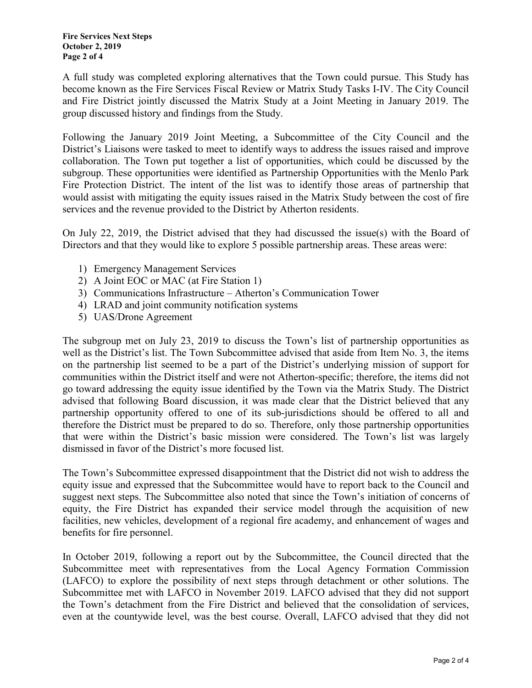A full study was completed exploring alternatives that the Town could pursue. This Study has become known as the Fire Services Fiscal Review or Matrix Study Tasks I-IV. The City Council and Fire District jointly discussed the Matrix Study at a Joint Meeting in January 2019. The group discussed history and findings from the Study.

Following the January 2019 Joint Meeting, a Subcommittee of the City Council and the District's Liaisons were tasked to meet to identify ways to address the issues raised and improve collaboration. The Town put together a list of opportunities, which could be discussed by the subgroup. These opportunities were identified as Partnership Opportunities with the Menlo Park Fire Protection District. The intent of the list was to identify those areas of partnership that would assist with mitigating the equity issues raised in the Matrix Study between the cost of fire services and the revenue provided to the District by Atherton residents.

On July 22, 2019, the District advised that they had discussed the issue(s) with the Board of Directors and that they would like to explore 5 possible partnership areas. These areas were:

- 1) Emergency Management Services
- 2) A Joint EOC or MAC (at Fire Station 1)
- 3) Communications Infrastructure Atherton's Communication Tower
- 4) LRAD and joint community notification systems
- 5) UAS/Drone Agreement

The subgroup met on July 23, 2019 to discuss the Town's list of partnership opportunities as well as the District's list. The Town Subcommittee advised that aside from Item No. 3, the items on the partnership list seemed to be a part of the District's underlying mission of support for communities within the District itself and were not Atherton-specific; therefore, the items did not go toward addressing the equity issue identified by the Town via the Matrix Study. The District advised that following Board discussion, it was made clear that the District believed that any partnership opportunity offered to one of its sub-jurisdictions should be offered to all and therefore the District must be prepared to do so. Therefore, only those partnership opportunities that were within the District's basic mission were considered. The Town's list was largely dismissed in favor of the District's more focused list.

The Town's Subcommittee expressed disappointment that the District did not wish to address the equity issue and expressed that the Subcommittee would have to report back to the Council and suggest next steps. The Subcommittee also noted that since the Town's initiation of concerns of equity, the Fire District has expanded their service model through the acquisition of new facilities, new vehicles, development of a regional fire academy, and enhancement of wages and benefits for fire personnel.

In October 2019, following a report out by the Subcommittee, the Council directed that the Subcommittee meet with representatives from the Local Agency Formation Commission (LAFCO) to explore the possibility of next steps through detachment or other solutions. The Subcommittee met with LAFCO in November 2019. LAFCO advised that they did not support the Town's detachment from the Fire District and believed that the consolidation of services, even at the countywide level, was the best course. Overall, LAFCO advised that they did not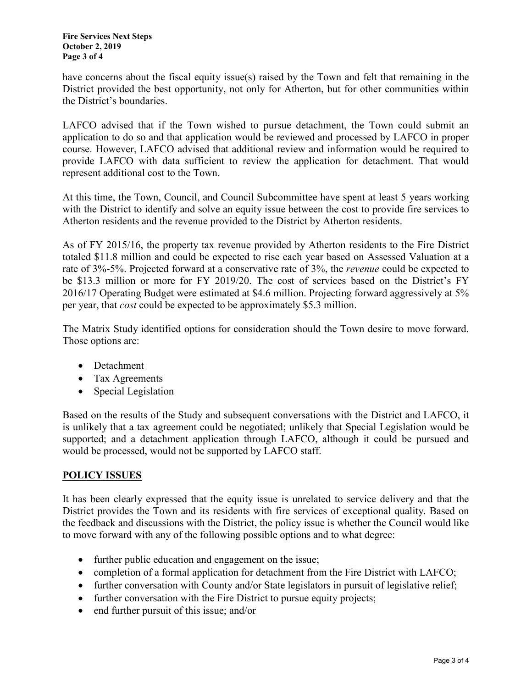have concerns about the fiscal equity issue(s) raised by the Town and felt that remaining in the District provided the best opportunity, not only for Atherton, but for other communities within the District's boundaries.

LAFCO advised that if the Town wished to pursue detachment, the Town could submit an application to do so and that application would be reviewed and processed by LAFCO in proper course. However, LAFCO advised that additional review and information would be required to provide LAFCO with data sufficient to review the application for detachment. That would represent additional cost to the Town.

At this time, the Town, Council, and Council Subcommittee have spent at least 5 years working with the District to identify and solve an equity issue between the cost to provide fire services to Atherton residents and the revenue provided to the District by Atherton residents.

As of FY 2015/16, the property tax revenue provided by Atherton residents to the Fire District totaled \$11.8 million and could be expected to rise each year based on Assessed Valuation at a rate of 3%-5%. Projected forward at a conservative rate of 3%, the *revenue* could be expected to be \$13.3 million or more for FY 2019/20. The cost of services based on the District's FY 2016/17 Operating Budget were estimated at \$4.6 million. Projecting forward aggressively at 5% per year, that *cost* could be expected to be approximately \$5.3 million.

The Matrix Study identified options for consideration should the Town desire to move forward. Those options are:

- Detachment
- Tax Agreements
- Special Legislation

Based on the results of the Study and subsequent conversations with the District and LAFCO, it is unlikely that a tax agreement could be negotiated; unlikely that Special Legislation would be supported; and a detachment application through LAFCO, although it could be pursued and would be processed, would not be supported by LAFCO staff.

#### **POLICY ISSUES**

It has been clearly expressed that the equity issue is unrelated to service delivery and that the District provides the Town and its residents with fire services of exceptional quality. Based on the feedback and discussions with the District, the policy issue is whether the Council would like to move forward with any of the following possible options and to what degree:

- further public education and engagement on the issue;
- completion of a formal application for detachment from the Fire District with LAFCO;
- further conversation with County and/or State legislators in pursuit of legislative relief;
- further conversation with the Fire District to pursue equity projects;
- end further pursuit of this issue; and/or